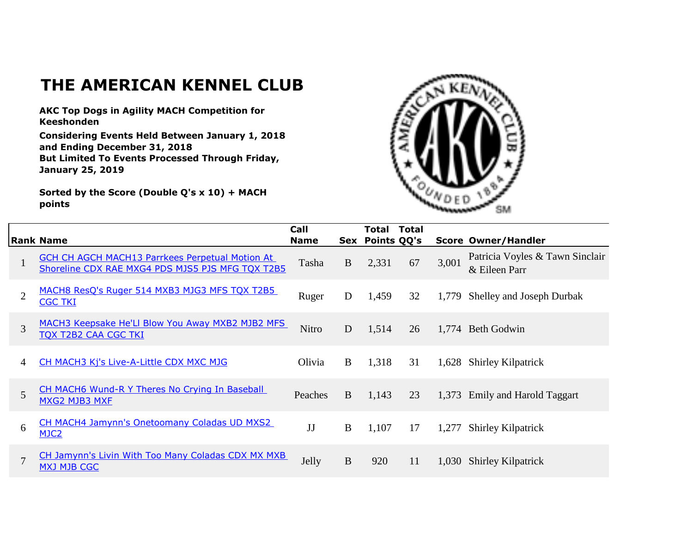## **THE AMERICAN KENNEL CLUB**

**AKC Top Dogs in Agility MACH Competition for Keeshonden**

**Considering Events Held Between January 1, 2018 and Ending December 31, 2018 But Limited To Events Processed Through Friday, January 25, 2019**

**Sorted by the Score (Double Q's x 10) + MACH points**



|                |                                                                                                            | Call        |          | Total           | <b>Total</b> |       |                                                  |
|----------------|------------------------------------------------------------------------------------------------------------|-------------|----------|-----------------|--------------|-------|--------------------------------------------------|
|                | <b>Rank Name</b>                                                                                           | <b>Name</b> |          | Sex Points QQ's |              |       | <b>Score Owner/Handler</b>                       |
|                | <b>GCH CH AGCH MACH13 Parrkees Perpetual Motion At</b><br>Shoreline CDX RAE MXG4 PDS MJS5 PJS MFG TQX T2B5 | Tasha       | $\bf{B}$ | 2,331           | 67           | 3,001 | Patricia Voyles & Tawn Sinclair<br>& Eileen Parr |
| $\overline{2}$ | MACH8 ResQ's Ruger 514 MXB3 MJG3 MFS TQX T2B5<br><b>CGC TKI</b>                                            | Ruger       | D        | 1,459           | 32           | 1,779 | Shelley and Joseph Durbak                        |
| 3              | MACH3 Keepsake He'Ll Blow You Away MXB2 MJB2 MFS<br><b>TOX T2B2 CAA CGC TKI</b>                            | Nitro       | D        | 1,514           | 26           |       | 1,774 Beth Godwin                                |
| 4              | CH MACH3 Kj's Live-A-Little CDX MXC MJG                                                                    | Olivia      | B        | 1,318           | 31           | 1,628 | <b>Shirley Kilpatrick</b>                        |
| 5              | CH MACH6 Wund-R Y Theres No Crying In Baseball<br>MXG2 MJB3 MXF                                            | Peaches     | B        | 1,143           | 23           |       | 1,373 Emily and Harold Taggart                   |
| 6              | CH MACH4 Jamynn's Onetoomany Coladas UD MXS2<br>MJC <sub>2</sub>                                           | JJ          | B        | 1,107           | 17           | 1,277 | <b>Shirley Kilpatrick</b>                        |
| $\mathcal{I}$  | CH Jamynn's Livin With Too Many Coladas CDX MX MXB<br><b>MXJ MJB CGC</b>                                   | Jelly       | $\bf{B}$ | 920             | 11           | 1,030 | <b>Shirley Kilpatrick</b>                        |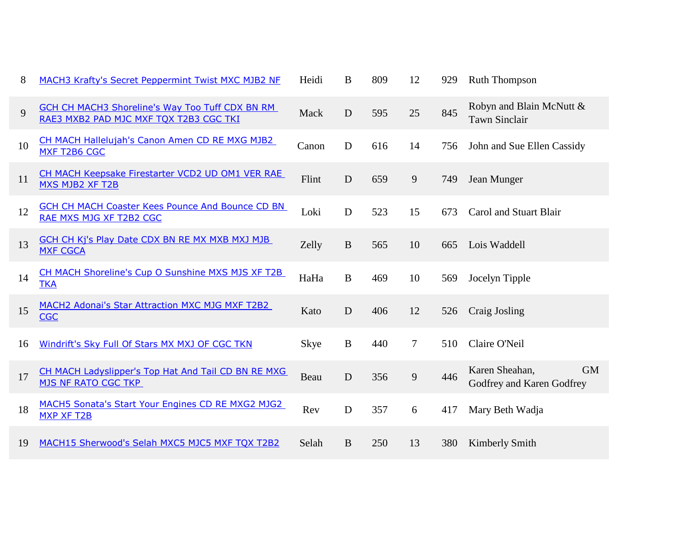| 8  | <b>MACH3 Krafty's Secret Peppermint Twist MXC MJB2 NF</b>                                        | Heidi | $\bf{B}$    | 809 | 12     | 929 | <b>Ruth Thompson</b>                                     |
|----|--------------------------------------------------------------------------------------------------|-------|-------------|-----|--------|-----|----------------------------------------------------------|
| 9  | <b>GCH CH MACH3 Shoreline's Way Too Tuff CDX BN RM</b><br>RAE3 MXB2 PAD MJC MXF TQX T2B3 CGC TKI | Mack  | D           | 595 | 25     | 845 | Robyn and Blain McNutt &<br><b>Tawn Sinclair</b>         |
| 10 | CH MACH Hallelujah's Canon Amen CD RE MXG MJB2<br>MXF T2B6 CGC                                   | Canon | $\mathbf D$ | 616 | 14     | 756 | John and Sue Ellen Cassidy                               |
| 11 | CH MACH Keepsake Firestarter VCD2 UD OM1 VER RAE<br>MXS MJB2 XF T2B                              | Flint | D           | 659 | 9      | 749 | Jean Munger                                              |
| 12 | <b>GCH CH MACH Coaster Kees Pounce And Bounce CD BN</b><br>RAE MXS MJG XF T2B2 CGC               | Loki  | D           | 523 | 15     | 673 | Carol and Stuart Blair                                   |
| 13 | GCH CH Kj's Play Date CDX BN RE MX MXB MXJ MJB<br><b>MXF CGCA</b>                                | Zelly | B           | 565 | 10     | 665 | Lois Waddell                                             |
| 14 | CH MACH Shoreline's Cup O Sunshine MXS MJS XF T2B<br><b>TKA</b>                                  | HaHa  | $\bf{B}$    | 469 | 10     | 569 | Jocelyn Tipple                                           |
| 15 | MACH2 Adonai's Star Attraction MXC MJG MXF T2B2<br><b>CGC</b>                                    | Kato  | D           | 406 | 12     | 526 | Craig Josling                                            |
| 16 | Windrift's Sky Full Of Stars MX MXJ OF CGC TKN                                                   | Skye  | $\bf{B}$    | 440 | $\tau$ | 510 | Claire O'Neil                                            |
| 17 | CH MACH Ladyslipper's Top Hat And Tail CD BN RE MXG<br><b>MJS NF RATO CGC TKP</b>                | Beau  | $\mathbf D$ | 356 | 9      | 446 | <b>GM</b><br>Karen Sheahan,<br>Godfrey and Karen Godfrey |
| 18 | MACH5 Sonata's Start Your Engines CD RE MXG2 MJG2<br><b>MXP XF T2B</b>                           | Rev   | $\mathbf D$ | 357 | 6      | 417 | Mary Beth Wadja                                          |
| 19 | MACH15 Sherwood's Selah MXC5 MJC5 MXF TQX T2B2                                                   | Selah | B           | 250 | 13     | 380 | Kimberly Smith                                           |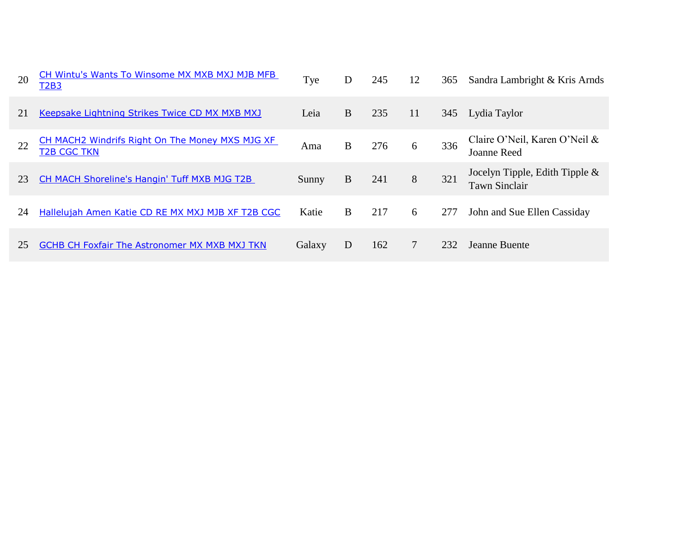| 20 | CH Wintu's Wants To Winsome MX MXB MXJ MJB MFB<br>T <sub>2</sub> B <sub>3</sub> | Tye    | D | 245 | 12 | 365 | Sandra Lambright & Kris Arnds                             |
|----|---------------------------------------------------------------------------------|--------|---|-----|----|-----|-----------------------------------------------------------|
| 21 | Keepsake Lightning Strikes Twice CD MX MXB MXJ                                  | Leia   | B | 235 | 11 | 345 | Lydia Taylor                                              |
| 22 | CH MACH2 Windrifs Right On The Money MXS MJG XF<br><b>T2B CGC TKN</b>           | Ama    | B | 276 | 6  | 336 | Claire O'Neil, Karen O'Neil &<br>Joanne Reed              |
| 23 | CH MACH Shoreline's Hangin' Tuff MXB MJG T2B                                    | Sunny  | B | 241 | 8  | 321 | Jocelyn Tipple, Edith Tipple $\&$<br><b>Tawn Sinclair</b> |
| 24 | Hallelujah Amen Katie CD RE MX MXJ MJB XF T2B CGC                               | Katie  | B | 217 | 6  | 277 | John and Sue Ellen Cassiday                               |
| 25 | <b>GCHB CH Foxfair The Astronomer MX MXB MXJ TKN</b>                            | Galaxy | D | 162 | 7  | 232 | Jeanne Buente                                             |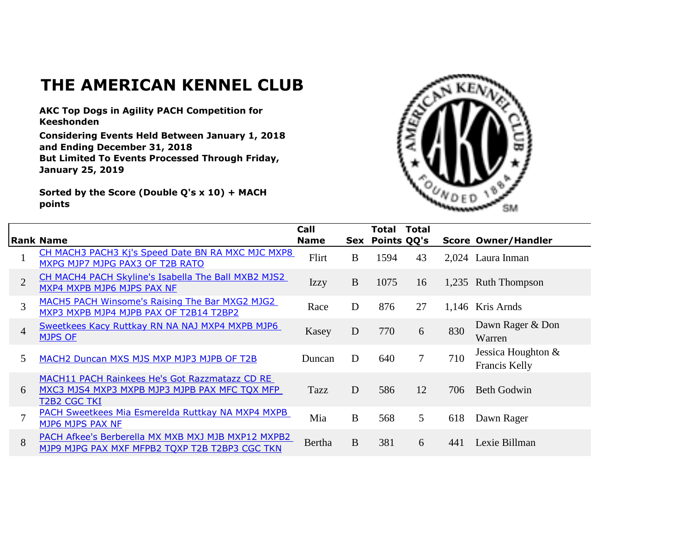## **THE AMERICAN KENNEL CLUB**

**AKC Top Dogs in Agility PACH Competition for Keeshonden**

**Considering Events Held Between January 1, 2018 and Ending December 31, 2018 But Limited To Events Processed Through Friday, January 25, 2019**

**Sorted by the Score (Double Q's x 10) + MACH points**



|                | <b>Rank Name</b>                                                                                                       | Call<br><b>Name</b> |          | Total<br>Sex Points QQ's | <b>Total</b> |     | <b>Score Owner/Handler</b>          |
|----------------|------------------------------------------------------------------------------------------------------------------------|---------------------|----------|--------------------------|--------------|-----|-------------------------------------|
|                | CH MACH3 PACH3 Kj's Speed Date BN RA MXC MJC MXP8<br>MXPG MJP7 MJPG PAX3 OF T2B RATO                                   | Flirt               | B        | 1594                     | 43           |     | 2,024 Laura Inman                   |
| $\overline{2}$ | CH MACH4 PACH Skyline's Isabella The Ball MXB2 MJS2<br>MXP4 MXPB MJP6 MJPS PAX NF                                      | <b>Izzy</b>         | $\bf{B}$ | 1075                     | 16           |     | 1,235 Ruth Thompson                 |
| 3              | MACH5 PACH Winsome's Raising The Bar MXG2 MJG2<br>MXP3 MXPB MJP4 MJPB PAX OF T2B14 T2BP2                               | Race                | D        | 876                      | 27           |     | 1,146 Kris Arnds                    |
| $\overline{4}$ | Sweetkees Kacy Ruttkay RN NA NAJ MXP4 MXPB MJP6<br><b>MJPS OF</b>                                                      | Kasey               | D        | 770                      | 6            | 830 | Dawn Rager & Don<br>Warren          |
| 5              | MACH2 Duncan MXS MJS MXP MJP3 MJPB OF T2B                                                                              | Duncan              | D        | 640                      | $\tau$       | 710 | Jessica Houghton &<br>Francis Kelly |
| 6              | MACH11 PACH Rainkees He's Got Razzmatazz CD RE<br>MXC3 MJS4 MXP3 MXPB MJP3 MJPB PAX MFC TQX MFP<br><b>T2B2 CGC TKI</b> | Tazz                | D        | 586                      | 12           | 706 | <b>Beth Godwin</b>                  |
| $\tau$         | PACH Sweetkees Mia Esmerelda Ruttkay NA MXP4 MXPB<br>MJP6 MJPS PAX NF                                                  | Mia                 | B        | 568                      | 5            | 618 | Dawn Rager                          |
| 8              | PACH Afkee's Berberella MX MXB MXJ MJB MXP12 MXPB2<br>MJP9 MJPG PAX MXF MFPB2 TQXP T2B T2BP3 CGC TKN                   | Bertha              | B        | 381                      | 6            | 441 | Lexie Billman                       |